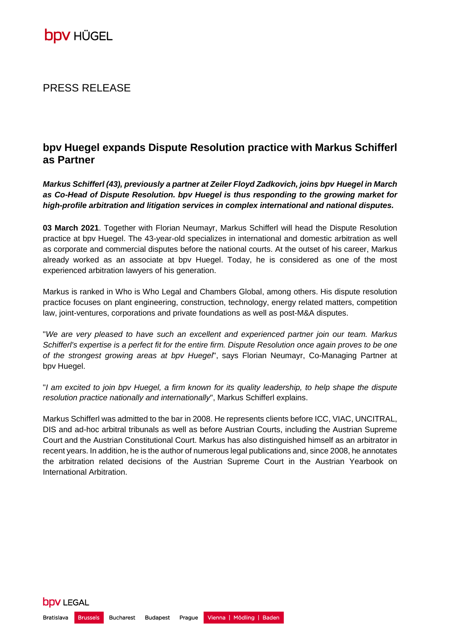

PRESS RELEASE

## **bpv Huegel expands Dispute Resolution practice with Markus Schifferl as Partner**

*Markus Schifferl (43), previously a partner at Zeiler Floyd Zadkovich, joins bpv Huegel in March as Co-Head of Dispute Resolution. bpv Huegel is thus responding to the growing market for high-profile arbitration and litigation services in complex international and national disputes.*

**03 March 2021**. Together with Florian Neumayr, Markus Schifferl will head the Dispute Resolution practice at bpv Huegel. The 43-year-old specializes in international and domestic arbitration as well as corporate and commercial disputes before the national courts. At the outset of his career, Markus already worked as an associate at bpv Huegel. Today, he is considered as one of the most experienced arbitration lawyers of his generation.

Markus is ranked in Who is Who Legal and Chambers Global, among others. His dispute resolution practice focuses on plant engineering, construction, technology, energy related matters, competition law, joint-ventures, corporations and private foundations as well as post-M&A disputes.

"*We are very pleased to have such an excellent and experienced partner join our team. Markus Schifferl's expertise is a perfect fit for the entire firm. Dispute Resolution once again proves to be one of the strongest growing areas at bpv Huegel*", says Florian Neumayr, Co-Managing Partner at bpv Huegel.

"*I am excited to join bpv Huegel, a firm known for its quality leadership, to help shape the dispute resolution practice nationally and internationally*", Markus Schifferl explains.

Markus Schifferl was admitted to the bar in 2008. He represents clients before ICC, VIAC, UNCITRAL, DIS and ad-hoc arbitral tribunals as well as before Austrian Courts, including the Austrian Supreme Court and the Austrian Constitutional Court. Markus has also distinguished himself as an arbitrator in recent years. In addition, he is the author of numerous legal publications and, since 2008, he annotates the arbitration related decisions of the Austrian Supreme Court in the Austrian Yearbook on International Arbitration.